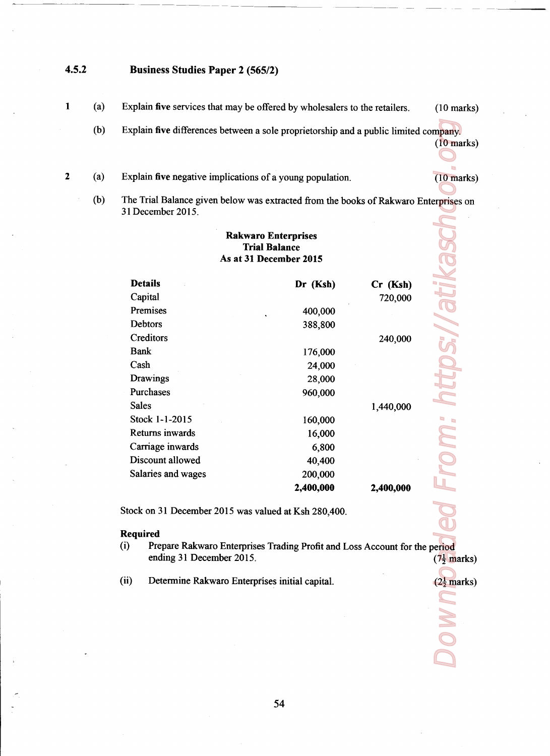## 4.5.2 Business Studies Paper 2 (565/2)

 $\mathbf{1}$ 

 $\overline{2}$ 

- $(a)$ Explain five services that may be offered by wholesalers to the retailers. (10 marks)
	- (b) Explain five differences between a sole proprietorship and a public limited company.

 $(10$  marks)

(10 marks)

 $(2\frac{1}{2}$  marks)

- (a) Explain five negative implications of a young population.
- 0)) The Trial Balance given below was extracted from the books of Rakwaro Enterprises on 31 December 2015 mpany.<br>
(10 marks)<br>
(2) marks)<br>
(2<sup>1</sup>/anarks)<br>
(2<sup>1</sup>/anarks)<br>
(2<sup>1</sup>/anarks)<br>
(2<sup>1</sup>/anarks)

|                    | <b>Rakwaro Enterprises</b><br><b>Trial Balance</b><br>As at 31 December 2015 |            |
|--------------------|------------------------------------------------------------------------------|------------|
| <b>Details</b>     | Dr (Ksh)                                                                     | $Cr$ (Ksh) |
| Capital            |                                                                              | 720,000    |
| Premises           | 400,000                                                                      |            |
| Debtors            | 388,800                                                                      |            |
| Creditors          |                                                                              | 240,000    |
| <b>Bank</b>        | 176,000                                                                      |            |
| Cash               | 24,000                                                                       |            |
| Drawings           | 28,000                                                                       |            |
| Purchases          | 960,000                                                                      |            |
| <b>Sales</b>       |                                                                              | 1,440,000  |
| Stock 1-1-2015     | 160,000                                                                      |            |
| Returns inwards    | 16,000                                                                       |            |
| Carriage inwards   | 6,800                                                                        |            |
| Discount allowed   | 40,400                                                                       |            |
| Salaries and wages | 200,000                                                                      |            |
|                    | 2,400,000                                                                    | 2,400,000  |

## Required

- (i) Prepare Rakwaro Enterprises Trading Profit and Loss Account for the period ending 31 December 2015.  $(7\frac{1}{2}$  marks)
- (ii) Determine Rakwaro Enterprises initial capital.